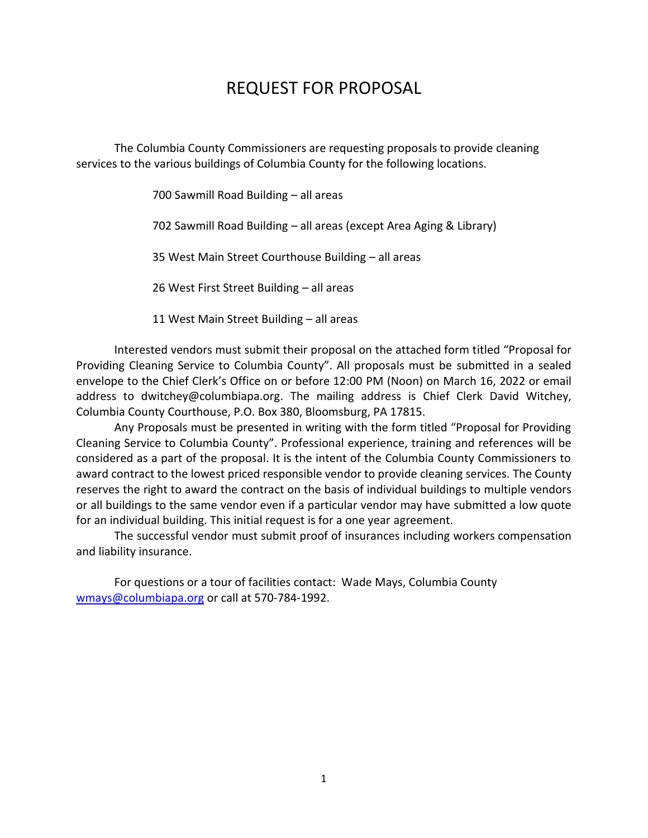### REQUEST FOR PROPOSAL

The Columbia County Commissioners are requesting proposals to provide cleaning services to the various buildings of Columbia County for the following locations.

700 Sawmill Road Building – all areas

702 Sawmill Road Building – all areas (except Area Aging & Library)

35 West Main Street Courthouse Building – all areas

26 West First Street Building – all areas

11 West Main Street Building – all areas

Interested vendors must submit their proposal on the attached form titled "Proposal for Providing Cleaning Service to Columbia County". All proposals must be submitted in a sealed envelope to the Chief Clerk's Office on or before 12:00 PM (Noon) on March 16, 2022 or email address to dwitchey@columbiapa.org. The mailing address is Chief Clerk David Witchey, Columbia County Courthouse, P.O. Box 380, Bloomsburg, PA 17815.

Any Proposals must be presented in writing with the form titled "Proposal for Providing Cleaning Service to Columbia County". Professional experience, training and references will be considered as a part of the proposal. It is the intent of the Columbia County Commissioners to award contract to the lowest priced responsible vendor to provide cleaning services. The County reserves the right to award the contract on the basis of individual buildings to multiple vendors or all buildings to the same vendor even if a particular vendor may have submitted a low quote for an individual building. This initial request is for a one year agreement.

The successful vendor must submit proof of insurances including workers compensation and liability insurance.

For questions or a tour of facilities contact: Wade Mays, Columbia County [wmays@columbiapa.org](mailto:wmays@columbiapa.org) or call at 570-784-1992.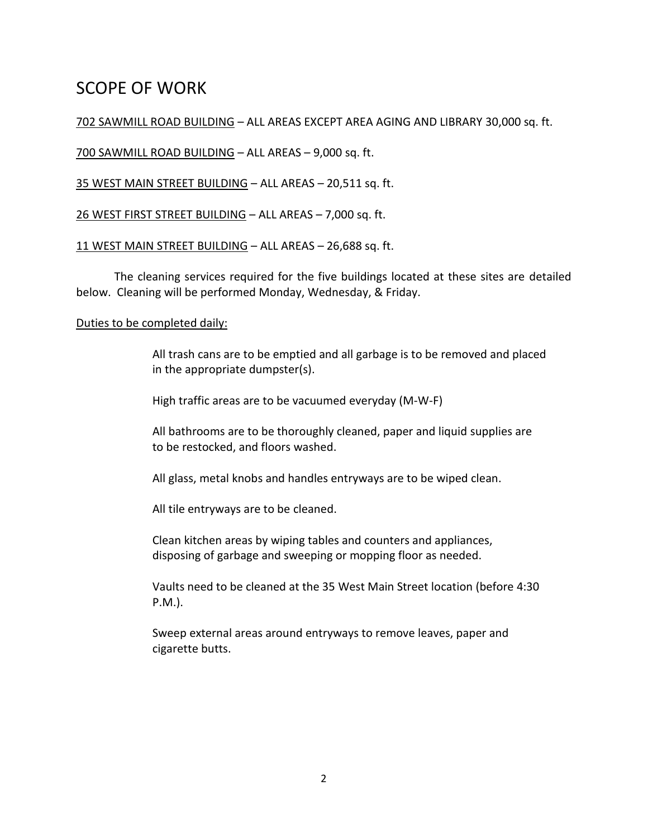## SCOPE OF WORK

### 702 SAWMILL ROAD BUILDING – ALL AREAS EXCEPT AREA AGING AND LIBRARY 30,000 sq. ft.

700 SAWMILL ROAD BUILDING – ALL AREAS – 9,000 sq. ft.

35 WEST MAIN STREET BUILDING – ALL AREAS – 20,511 sq. ft.

26 WEST FIRST STREET BUILDING – ALL AREAS – 7,000 sq. ft.

11 WEST MAIN STREET BUILDING – ALL AREAS – 26,688 sq. ft.

The cleaning services required for the five buildings located at these sites are detailed below. Cleaning will be performed Monday, Wednesday, & Friday.

#### Duties to be completed daily:

All trash cans are to be emptied and all garbage is to be removed and placed in the appropriate dumpster(s).

High traffic areas are to be vacuumed everyday (M-W-F)

All bathrooms are to be thoroughly cleaned, paper and liquid supplies are to be restocked, and floors washed.

All glass, metal knobs and handles entryways are to be wiped clean.

All tile entryways are to be cleaned.

Clean kitchen areas by wiping tables and counters and appliances, disposing of garbage and sweeping or mopping floor as needed.

Vaults need to be cleaned at the 35 West Main Street location (before 4:30 P.M.).

Sweep external areas around entryways to remove leaves, paper and cigarette butts.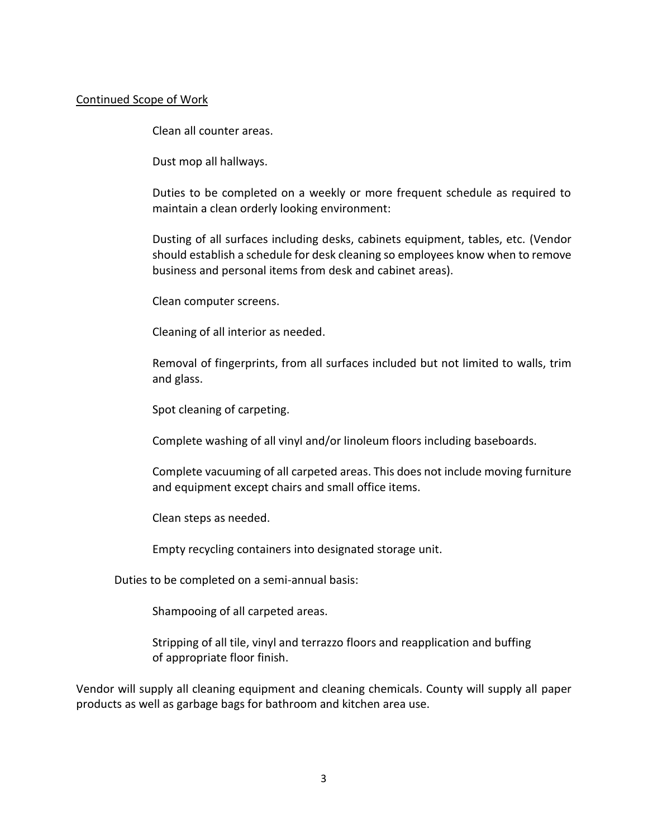#### Continued Scope of Work

Clean all counter areas.

Dust mop all hallways.

Duties to be completed on a weekly or more frequent schedule as required to maintain a clean orderly looking environment:

Dusting of all surfaces including desks, cabinets equipment, tables, etc. (Vendor should establish a schedule for desk cleaning so employees know when to remove business and personal items from desk and cabinet areas).

Clean computer screens.

Cleaning of all interior as needed.

Removal of fingerprints, from all surfaces included but not limited to walls, trim and glass.

Spot cleaning of carpeting.

Complete washing of all vinyl and/or linoleum floors including baseboards.

Complete vacuuming of all carpeted areas. This does not include moving furniture and equipment except chairs and small office items.

Clean steps as needed.

Empty recycling containers into designated storage unit.

Duties to be completed on a semi-annual basis:

Shampooing of all carpeted areas.

Stripping of all tile, vinyl and terrazzo floors and reapplication and buffing of appropriate floor finish.

Vendor will supply all cleaning equipment and cleaning chemicals. County will supply all paper products as well as garbage bags for bathroom and kitchen area use.